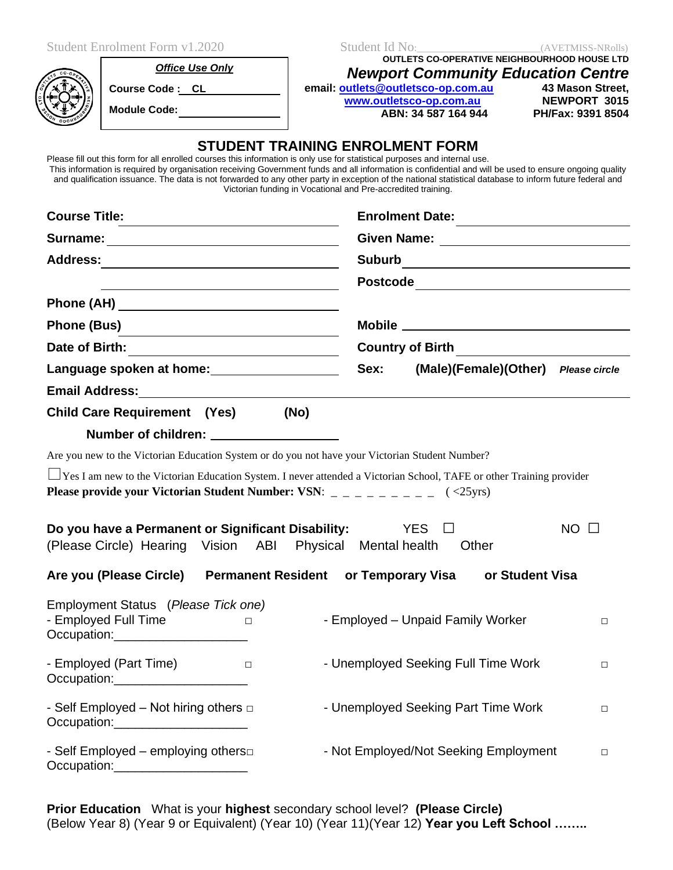| <b>Student Enrolment Form v1.2020</b><br><b>Office Use Only</b><br>Course Code : CL    <br>Module Code: ________________<br>Please fill out this form for all enrolled courses this information is only use for statistical purposes and internal use. | Student Id No: (AVETMISS-NRolls)<br><b>OUTLETS CO-OPERATIVE NEIGHBOURHOOD HOUSE LTD</b><br><b>Newport Community Education Centre</b><br>email: outlets@outletsco-op.com.au<br>43 Mason Street,<br>www.outletsco-op.com.au<br><b>NEWPORT 3015</b><br>ABN: 34 587 164 944<br>PH/Fax: 9391 8504<br><b>STUDENT TRAINING ENROLMENT FORM</b><br>This information is required by organisation receiving Government funds and all information is confidential and will be used to ensure ongoing quality<br>and qualification issuance. The data is not forwarded to any other party in exception of the national statistical database to inform future federal and |  |
|--------------------------------------------------------------------------------------------------------------------------------------------------------------------------------------------------------------------------------------------------------|-------------------------------------------------------------------------------------------------------------------------------------------------------------------------------------------------------------------------------------------------------------------------------------------------------------------------------------------------------------------------------------------------------------------------------------------------------------------------------------------------------------------------------------------------------------------------------------------------------------------------------------------------------------|--|
| <b>Course Title:</b>                                                                                                                                                                                                                                   | Victorian funding in Vocational and Pre-accredited training.                                                                                                                                                                                                                                                                                                                                                                                                                                                                                                                                                                                                |  |
| Surname: Note and the set of the set of the set of the set of the set of the set of the set of the set of the set of the set of the set of the set of the set of the set of the set of the set of the set of the set of the se                         | Enrolment Date:                                                                                                                                                                                                                                                                                                                                                                                                                                                                                                                                                                                                                                             |  |
|                                                                                                                                                                                                                                                        |                                                                                                                                                                                                                                                                                                                                                                                                                                                                                                                                                                                                                                                             |  |
|                                                                                                                                                                                                                                                        |                                                                                                                                                                                                                                                                                                                                                                                                                                                                                                                                                                                                                                                             |  |
|                                                                                                                                                                                                                                                        |                                                                                                                                                                                                                                                                                                                                                                                                                                                                                                                                                                                                                                                             |  |
| Phone (Bus)                                                                                                                                                                                                                                            |                                                                                                                                                                                                                                                                                                                                                                                                                                                                                                                                                                                                                                                             |  |
|                                                                                                                                                                                                                                                        | Country of Birth ________________________                                                                                                                                                                                                                                                                                                                                                                                                                                                                                                                                                                                                                   |  |
| Language spoken at home:<br><u>Language spoken</u> at home:                                                                                                                                                                                            | Sex: (Male)(Female)(Other) Please circle                                                                                                                                                                                                                                                                                                                                                                                                                                                                                                                                                                                                                    |  |
|                                                                                                                                                                                                                                                        |                                                                                                                                                                                                                                                                                                                                                                                                                                                                                                                                                                                                                                                             |  |
| Child Care Requirement (Yes) (No)                                                                                                                                                                                                                      |                                                                                                                                                                                                                                                                                                                                                                                                                                                                                                                                                                                                                                                             |  |
| Number of children: ____________________                                                                                                                                                                                                               |                                                                                                                                                                                                                                                                                                                                                                                                                                                                                                                                                                                                                                                             |  |
| Are you new to the Victorian Education System or do you not have your Victorian Student Number?                                                                                                                                                        |                                                                                                                                                                                                                                                                                                                                                                                                                                                                                                                                                                                                                                                             |  |
| □ Yes I am new to the Victorian Education System. I never attended a Victorian School, TAFE or other Training provider                                                                                                                                 |                                                                                                                                                                                                                                                                                                                                                                                                                                                                                                                                                                                                                                                             |  |
| Do you have a Permanent or Significant Disability: $YES \square$<br>(Please Circle) Hearing Vision ABI Physical Mental health                                                                                                                          | $NO$ $\Box$<br>Other                                                                                                                                                                                                                                                                                                                                                                                                                                                                                                                                                                                                                                        |  |
| Are you (Please Circle)                                                                                                                                                                                                                                | <b>Permanent Resident or Temporary Visa</b><br>or Student Visa                                                                                                                                                                                                                                                                                                                                                                                                                                                                                                                                                                                              |  |
| Employment Status (Please Tick one)<br>- Employed Full Time<br>$\Box$<br>Occupation:____________________                                                                                                                                               | - Employed - Unpaid Family Worker<br>$\Box$                                                                                                                                                                                                                                                                                                                                                                                                                                                                                                                                                                                                                 |  |
| - Employed (Part Time)<br><u>and the state of the state</u><br>Occupation:_____________________                                                                                                                                                        | - Unemployed Seeking Full Time Work<br>$\Box$                                                                                                                                                                                                                                                                                                                                                                                                                                                                                                                                                                                                               |  |
| - Self Employed – Not hiring others $\Box$<br>Occupation: 2000                                                                                                                                                                                         | - Unemployed Seeking Part Time Work<br>$\Box$                                                                                                                                                                                                                                                                                                                                                                                                                                                                                                                                                                                                               |  |
| - Self Employed - employing others<br>Occupation:_____________________                                                                                                                                                                                 | - Not Employed/Not Seeking Employment<br>$\Box$                                                                                                                                                                                                                                                                                                                                                                                                                                                                                                                                                                                                             |  |

**Prior Education** What is your **highest** secondary school level? **(Please Circle)** (Below Year 8) (Year 9 or Equivalent) (Year 10) (Year 11)(Year 12) **Year you Left School ……..**